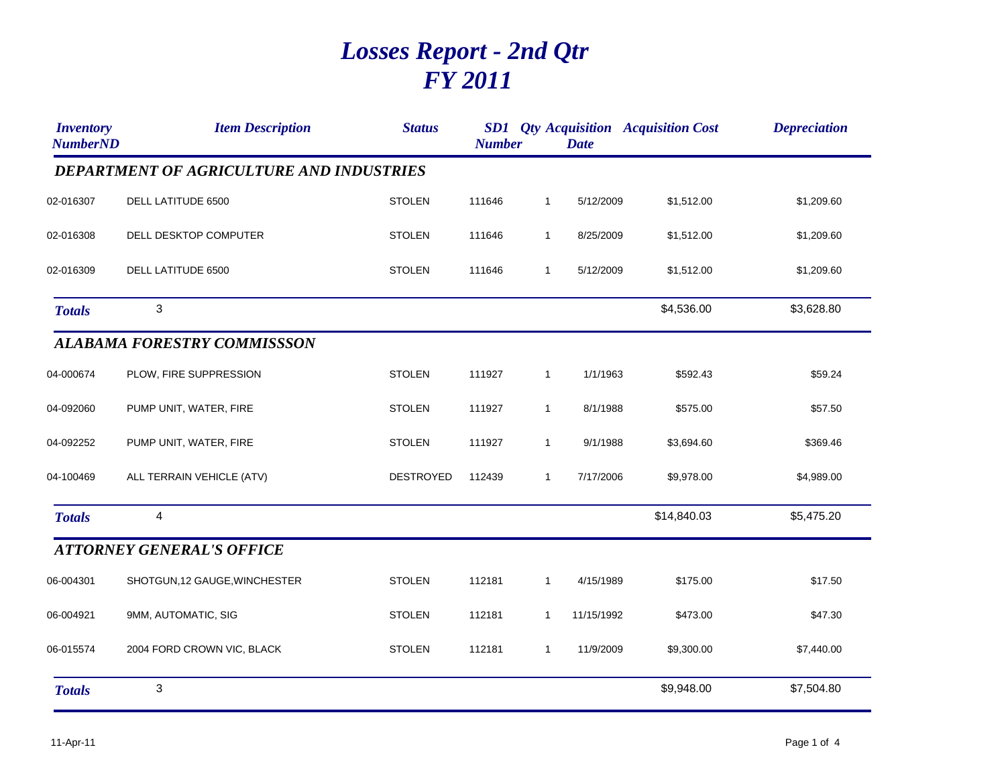## *Losses Report - 2nd Qtr FY 2011*

| <i><b>Inventory</b></i><br><b>NumberND</b> | <b>Item Description</b>                         | <b>Status</b>    | <b>Number</b> |              | <b>Date</b> | <b>SD1</b> Qty Acquisition Acquisition Cost | <b>Depreciation</b> |
|--------------------------------------------|-------------------------------------------------|------------------|---------------|--------------|-------------|---------------------------------------------|---------------------|
|                                            | <b>DEPARTMENT OF AGRICULTURE AND INDUSTRIES</b> |                  |               |              |             |                                             |                     |
| 02-016307                                  | DELL LATITUDE 6500                              | <b>STOLEN</b>    | 111646        | $\mathbf{1}$ | 5/12/2009   | \$1,512.00                                  | \$1,209.60          |
| 02-016308                                  | DELL DESKTOP COMPUTER                           | <b>STOLEN</b>    | 111646        | $\mathbf{1}$ | 8/25/2009   | \$1,512.00                                  | \$1,209.60          |
| 02-016309                                  | DELL LATITUDE 6500                              | <b>STOLEN</b>    | 111646        | $\mathbf{1}$ | 5/12/2009   | \$1,512.00                                  | \$1,209.60          |
| <b>Totals</b>                              | 3                                               |                  |               |              |             | \$4,536.00                                  | \$3,628.80          |
|                                            | <b>ALABAMA FORESTRY COMMISSSON</b>              |                  |               |              |             |                                             |                     |
| 04-000674                                  | PLOW, FIRE SUPPRESSION                          | <b>STOLEN</b>    | 111927        | $\mathbf{1}$ | 1/1/1963    | \$592.43                                    | \$59.24             |
| 04-092060                                  | PUMP UNIT, WATER, FIRE                          | <b>STOLEN</b>    | 111927        | $\mathbf{1}$ | 8/1/1988    | \$575.00                                    | \$57.50             |
| 04-092252                                  | PUMP UNIT, WATER, FIRE                          | <b>STOLEN</b>    | 111927        | $\mathbf{1}$ | 9/1/1988    | \$3,694.60                                  | \$369.46            |
| 04-100469                                  | ALL TERRAIN VEHICLE (ATV)                       | <b>DESTROYED</b> | 112439        | $\mathbf{1}$ | 7/17/2006   | \$9,978.00                                  | \$4,989.00          |
| <b>Totals</b>                              | 4                                               |                  |               |              |             | \$14,840.03                                 | \$5,475.20          |
|                                            | <b>ATTORNEY GENERAL'S OFFICE</b>                |                  |               |              |             |                                             |                     |
| 06-004301                                  | SHOTGUN, 12 GAUGE, WINCHESTER                   | <b>STOLEN</b>    | 112181        | $\mathbf{1}$ | 4/15/1989   | \$175.00                                    | \$17.50             |
| 06-004921                                  | 9MM, AUTOMATIC, SIG                             | <b>STOLEN</b>    | 112181        | $\mathbf{1}$ | 11/15/1992  | \$473.00                                    | \$47.30             |
| 06-015574                                  | 2004 FORD CROWN VIC, BLACK                      | <b>STOLEN</b>    | 112181        | $\mathbf{1}$ | 11/9/2009   | \$9,300.00                                  | \$7,440.00          |
| <b>Totals</b>                              | 3                                               |                  |               |              |             | \$9,948.00                                  | \$7,504.80          |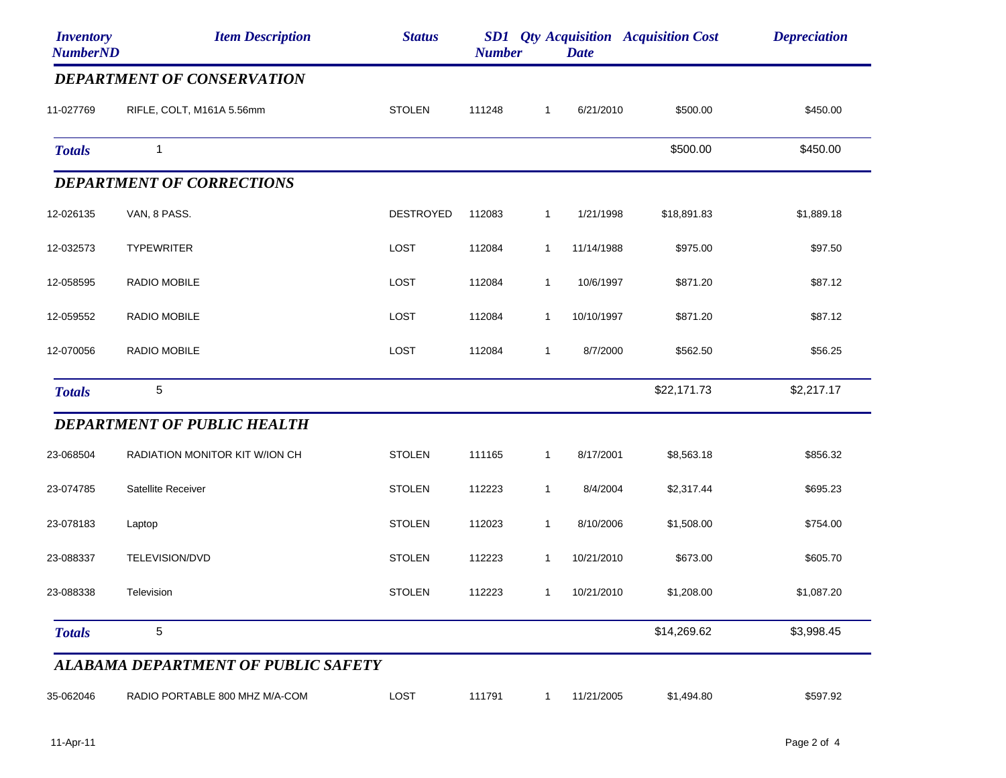| <b>Inventory</b><br><b>NumberND</b> | <b>Item Description</b>                    | <b>Status</b>    | <b>Number</b> |              | <b>Date</b> | <b>SD1</b> Qty Acquisition Acquisition Cost | <b>Depreciation</b> |
|-------------------------------------|--------------------------------------------|------------------|---------------|--------------|-------------|---------------------------------------------|---------------------|
|                                     | <b>DEPARTMENT OF CONSERVATION</b>          |                  |               |              |             |                                             |                     |
| 11-027769                           | RIFLE, COLT, M161A 5.56mm                  | <b>STOLEN</b>    | 111248        | $\mathbf{1}$ | 6/21/2010   | \$500.00                                    | \$450.00            |
| <b>Totals</b>                       | $\mathbf{1}$                               |                  |               |              |             | \$500.00                                    | \$450.00            |
|                                     | <b>DEPARTMENT OF CORRECTIONS</b>           |                  |               |              |             |                                             |                     |
| 12-026135                           | VAN, 8 PASS.                               | <b>DESTROYED</b> | 112083        | $\mathbf{1}$ | 1/21/1998   | \$18,891.83                                 | \$1,889.18          |
| 12-032573                           | <b>TYPEWRITER</b>                          | LOST             | 112084        | $\mathbf{1}$ | 11/14/1988  | \$975.00                                    | \$97.50             |
| 12-058595                           | RADIO MOBILE                               | <b>LOST</b>      | 112084        | $\mathbf{1}$ | 10/6/1997   | \$871.20                                    | \$87.12             |
| 12-059552                           | RADIO MOBILE                               | LOST             | 112084        | $\mathbf{1}$ | 10/10/1997  | \$871.20                                    | \$87.12             |
| 12-070056                           | RADIO MOBILE                               | <b>LOST</b>      | 112084        | $\mathbf{1}$ | 8/7/2000    | \$562.50                                    | \$56.25             |
| <b>Totals</b>                       | 5                                          |                  |               |              |             | \$22,171.73                                 | \$2,217.17          |
|                                     | <b>DEPARTMENT OF PUBLIC HEALTH</b>         |                  |               |              |             |                                             |                     |
| 23-068504                           | RADIATION MONITOR KIT W/ION CH             | <b>STOLEN</b>    | 111165        | $\mathbf{1}$ | 8/17/2001   | \$8,563.18                                  | \$856.32            |
| 23-074785                           | Satellite Receiver                         | <b>STOLEN</b>    | 112223        | $\mathbf{1}$ | 8/4/2004    | \$2,317.44                                  | \$695.23            |
| 23-078183                           | Laptop                                     | <b>STOLEN</b>    | 112023        | $\mathbf{1}$ | 8/10/2006   | \$1,508.00                                  | \$754.00            |
| 23-088337                           | TELEVISION/DVD                             | <b>STOLEN</b>    | 112223        | $\mathbf{1}$ | 10/21/2010  | \$673.00                                    | \$605.70            |
| 23-088338                           | Television                                 | <b>STOLEN</b>    | 112223        | $\mathbf{1}$ | 10/21/2010  | \$1,208.00                                  | \$1,087.20          |
| <b>Totals</b>                       | $\mathbf 5$                                |                  |               |              |             | \$14,269.62                                 | \$3,998.45          |
|                                     | <b>ALABAMA DEPARTMENT OF PUBLIC SAFETY</b> |                  |               |              |             |                                             |                     |
| 35-062046                           | RADIO PORTABLE 800 MHZ M/A-COM             | LOST             | 111791        | $\mathbf{1}$ | 11/21/2005  | \$1,494.80                                  | \$597.92            |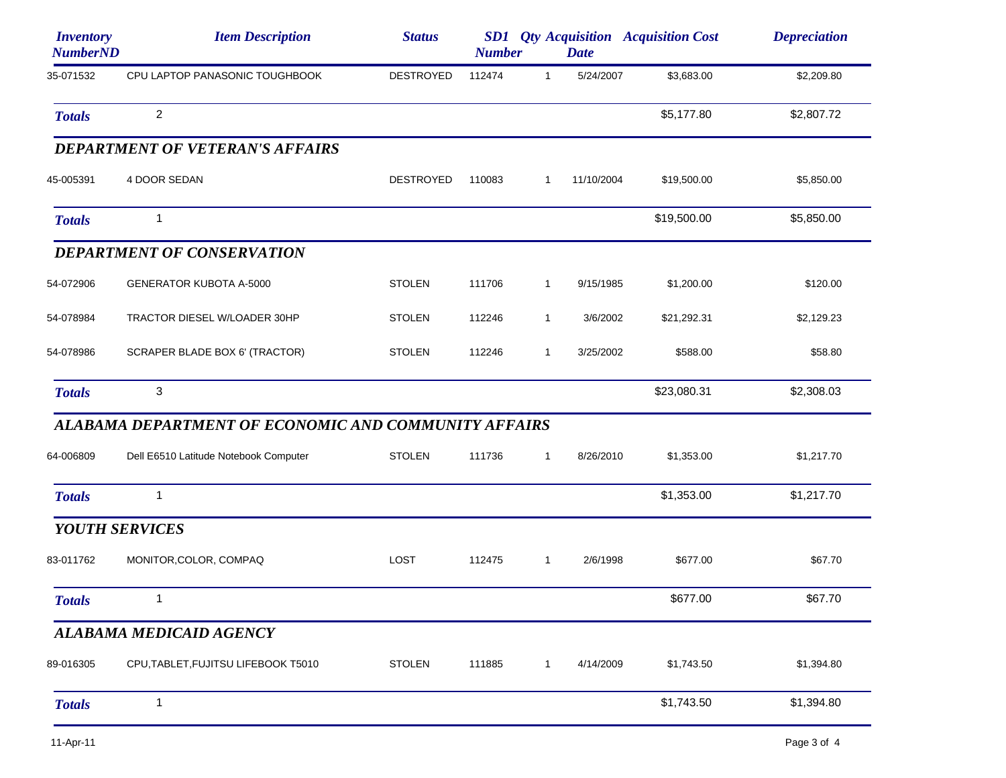| <i><b>Inventory</b></i><br><b>NumberND</b> | <b>Item Description</b>                              | <b>Status</b>    | <b>Number</b> |              | <b>Date</b> | <b>SD1</b> Qty Acquisition Acquisition Cost | <b>Depreciation</b> |
|--------------------------------------------|------------------------------------------------------|------------------|---------------|--------------|-------------|---------------------------------------------|---------------------|
| 35-071532                                  | CPU LAPTOP PANASONIC TOUGHBOOK                       | <b>DESTROYED</b> | 112474        | $\mathbf{1}$ | 5/24/2007   | \$3,683.00                                  | \$2,209.80          |
| <b>Totals</b>                              | $\overline{2}$                                       |                  |               |              |             | \$5,177.80                                  | \$2,807.72          |
|                                            | <b>DEPARTMENT OF VETERAN'S AFFAIRS</b>               |                  |               |              |             |                                             |                     |
| 45-005391                                  | 4 DOOR SEDAN                                         | <b>DESTROYED</b> | 110083        | 1            | 11/10/2004  | \$19,500.00                                 | \$5,850.00          |
| <b>Totals</b>                              | 1                                                    |                  |               |              |             | \$19,500.00                                 | \$5,850.00          |
|                                            | <b>DEPARTMENT OF CONSERVATION</b>                    |                  |               |              |             |                                             |                     |
| 54-072906                                  | <b>GENERATOR KUBOTA A-5000</b>                       | <b>STOLEN</b>    | 111706        | $\mathbf{1}$ | 9/15/1985   | \$1,200.00                                  | \$120.00            |
| 54-078984                                  | TRACTOR DIESEL W/LOADER 30HP                         | <b>STOLEN</b>    | 112246        | $\mathbf{1}$ | 3/6/2002    | \$21,292.31                                 | \$2,129.23          |
| 54-078986                                  | SCRAPER BLADE BOX 6' (TRACTOR)                       | <b>STOLEN</b>    | 112246        | $\mathbf{1}$ | 3/25/2002   | \$588.00                                    | \$58.80             |
| <b>Totals</b>                              | 3                                                    |                  |               |              |             | \$23,080.31                                 | \$2,308.03          |
|                                            | ALABAMA DEPARTMENT OF ECONOMIC AND COMMUNITY AFFAIRS |                  |               |              |             |                                             |                     |
| 64-006809                                  | Dell E6510 Latitude Notebook Computer                | <b>STOLEN</b>    | 111736        | $\mathbf{1}$ | 8/26/2010   | \$1,353.00                                  | \$1,217.70          |
| <b>Totals</b>                              | 1                                                    |                  |               |              |             | \$1,353.00                                  | \$1,217.70          |
| <b>YOUTH SERVICES</b>                      |                                                      |                  |               |              |             |                                             |                     |
| 83-011762                                  | MONITOR, COLOR, COMPAQ                               | LOST             | 112475        | $\mathbf{1}$ | 2/6/1998    | \$677.00                                    | \$67.70             |
| <b>Totals</b>                              |                                                      |                  |               |              |             | \$677.00                                    | \$67.70             |
|                                            | <b>ALABAMA MEDICAID AGENCY</b>                       |                  |               |              |             |                                             |                     |
| 89-016305                                  | CPU, TABLET, FUJITSU LIFEBOOK T5010                  | <b>STOLEN</b>    | 111885        | $\mathbf{1}$ | 4/14/2009   | \$1,743.50                                  | \$1,394.80          |
| <b>Totals</b>                              | $\mathbf{1}$                                         |                  |               |              |             | \$1,743.50                                  | \$1,394.80          |